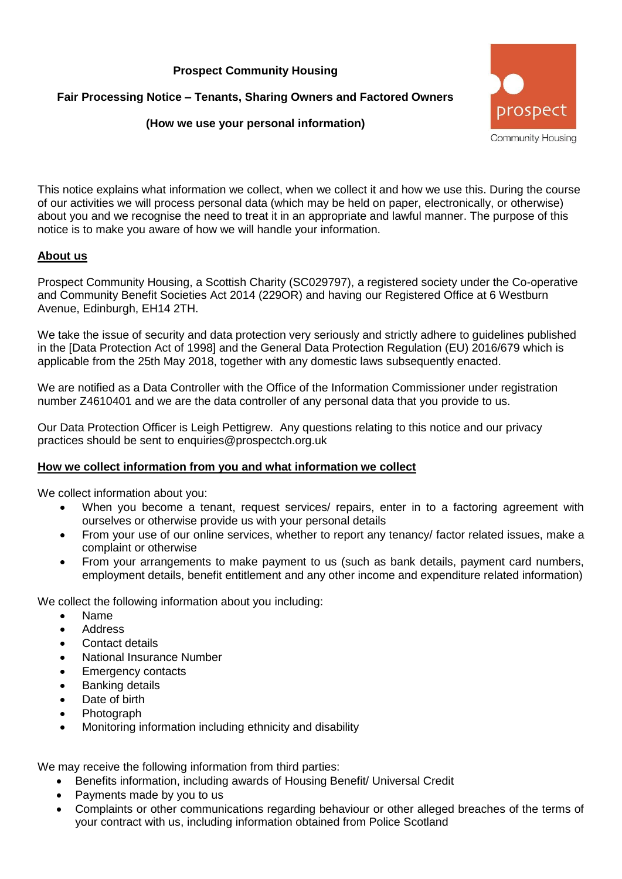## **Prospect Community Housing**

**Fair Processing Notice – Tenants, Sharing Owners and Factored Owners**

## **(How we use your personal information)**



This notice explains what information we collect, when we collect it and how we use this. During the course of our activities we will process personal data (which may be held on paper, electronically, or otherwise) about you and we recognise the need to treat it in an appropriate and lawful manner. The purpose of this notice is to make you aware of how we will handle your information.

### **About us**

Prospect Community Housing, a Scottish Charity (SC029797), a registered society under the Co-operative and Community Benefit Societies Act 2014 (229OR) and having our Registered Office at 6 Westburn Avenue, Edinburgh, EH14 2TH.

We take the issue of security and data protection very seriously and strictly adhere to guidelines published in the [Data Protection Act of 1998] and the General Data Protection Regulation (EU) 2016/679 which is applicable from the 25th May 2018, together with any domestic laws subsequently enacted.

We are notified as a Data Controller with the Office of the Information Commissioner under registration number Z4610401 and we are the data controller of any personal data that you provide to us.

Our Data Protection Officer is Leigh Pettigrew. Any questions relating to this notice and our privacy practices should be sent to enquiries@prospectch.org.uk

### **How we collect information from you and what information we collect**

We collect information about you:

- When you become a tenant, request services/ repairs, enter in to a factoring agreement with ourselves or otherwise provide us with your personal details
- From your use of our online services, whether to report any tenancy/ factor related issues, make a complaint or otherwise
- From your arrangements to make payment to us (such as bank details, payment card numbers, employment details, benefit entitlement and any other income and expenditure related information)

We collect the following information about you including:

- Name
- Address
- Contact details
- National Insurance Number
- **Emergency contacts**
- Banking details
- Date of birth
- **Photograph**
- Monitoring information including ethnicity and disability

We may receive the following information from third parties:

- Benefits information, including awards of Housing Benefit/ Universal Credit
- Payments made by you to us
- Complaints or other communications regarding behaviour or other alleged breaches of the terms of your contract with us, including information obtained from Police Scotland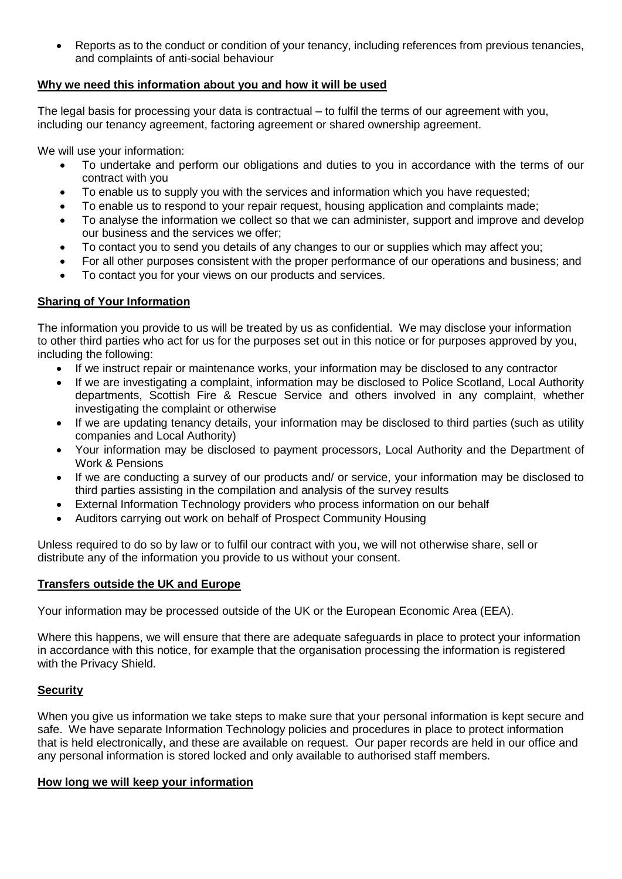• Reports as to the conduct or condition of your tenancy, including references from previous tenancies, and complaints of anti-social behaviour

### **Why we need this information about you and how it will be used**

The legal basis for processing your data is contractual – to fulfil the terms of our agreement with you, including our tenancy agreement, factoring agreement or shared ownership agreement.

We will use your information:

- To undertake and perform our obligations and duties to you in accordance with the terms of our contract with you
- To enable us to supply you with the services and information which you have requested:
- To enable us to respond to your repair request, housing application and complaints made;
- To analyse the information we collect so that we can administer, support and improve and develop our business and the services we offer;
- To contact you to send you details of any changes to our or supplies which may affect you;
- For all other purposes consistent with the proper performance of our operations and business; and
- To contact you for your views on our products and services.

# **Sharing of Your Information**

The information you provide to us will be treated by us as confidential. We may disclose your information to other third parties who act for us for the purposes set out in this notice or for purposes approved by you, including the following:

- If we instruct repair or maintenance works, your information may be disclosed to any contractor
- If we are investigating a complaint, information may be disclosed to Police Scotland, Local Authority departments, Scottish Fire & Rescue Service and others involved in any complaint, whether investigating the complaint or otherwise
- If we are updating tenancy details, your information may be disclosed to third parties (such as utility companies and Local Authority)
- Your information may be disclosed to payment processors, Local Authority and the Department of Work & Pensions
- If we are conducting a survey of our products and/ or service, your information may be disclosed to third parties assisting in the compilation and analysis of the survey results
- External Information Technology providers who process information on our behalf
- Auditors carrying out work on behalf of Prospect Community Housing

Unless required to do so by law or to fulfil our contract with you, we will not otherwise share, sell or distribute any of the information you provide to us without your consent.

### **Transfers outside the UK and Europe**

Your information may be processed outside of the UK or the European Economic Area (EEA).

Where this happens, we will ensure that there are adequate safeguards in place to protect your information in accordance with this notice, for example that the organisation processing the information is registered with the Privacy Shield.

# **Security**

When you give us information we take steps to make sure that your personal information is kept secure and safe. We have separate Information Technology policies and procedures in place to protect information that is held electronically, and these are available on request. Our paper records are held in our office and any personal information is stored locked and only available to authorised staff members.

### **How long we will keep your information**